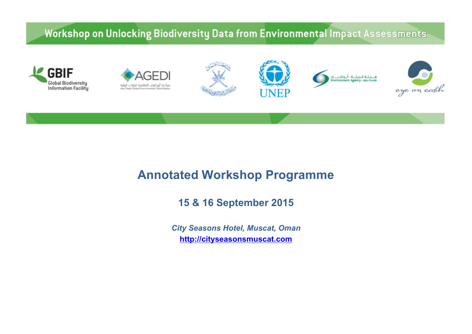### Workshop on Unlocking Biodiversity Data from Environmental Impact Assessments



# **Annotated Workshop Programme**

**15 & 16 September 2015**

*City Seasons Hotel, Muscat, Oman* **http://cityseasonsmuscat.com**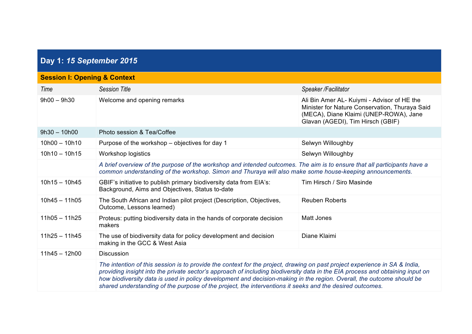# **Day 1:** *15 September 2015*

| <b>Session I: Opening &amp; Context</b> |                                                                                                                                                                                                                                                                                                                                                                                                                                                                                                  |                                                                                                                                                                              |  |
|-----------------------------------------|--------------------------------------------------------------------------------------------------------------------------------------------------------------------------------------------------------------------------------------------------------------------------------------------------------------------------------------------------------------------------------------------------------------------------------------------------------------------------------------------------|------------------------------------------------------------------------------------------------------------------------------------------------------------------------------|--|
| Time                                    | <b>Session Title</b>                                                                                                                                                                                                                                                                                                                                                                                                                                                                             | Speaker / Facilitator                                                                                                                                                        |  |
| $9h00 - 9h30$                           | Welcome and opening remarks                                                                                                                                                                                                                                                                                                                                                                                                                                                                      | Ali Bin Amer AL- Kuiymi - Advisor of HE the<br>Minister for Nature Conservation, Thuraya Said<br>(MECA), Diane Klaimi (UNEP-ROWA), Jane<br>Glavan (AGEDI), Tim Hirsch (GBIF) |  |
| $9h30 - 10h00$                          | Photo session & Tea/Coffee                                                                                                                                                                                                                                                                                                                                                                                                                                                                       |                                                                                                                                                                              |  |
| $10h00 - 10h10$                         | Purpose of the workshop – objectives for day 1                                                                                                                                                                                                                                                                                                                                                                                                                                                   | Selwyn Willoughby                                                                                                                                                            |  |
| $10h10 - 10h15$                         | <b>Workshop logistics</b>                                                                                                                                                                                                                                                                                                                                                                                                                                                                        | Selwyn Willoughby                                                                                                                                                            |  |
|                                         | A brief overview of the purpose of the workshop and intended outcomes. The aim is to ensure that all participants have a<br>common understanding of the workshop. Simon and Thuraya will also make some house-keeping announcements.                                                                                                                                                                                                                                                             |                                                                                                                                                                              |  |
| $10h15 - 10h45$                         | GBIF's initiative to publish primary biodiversity data from EIA's:<br>Background, Aims and Objectives, Status to-date                                                                                                                                                                                                                                                                                                                                                                            | Tim Hirsch / Siro Masinde                                                                                                                                                    |  |
| $10h45 - 11h05$                         | The South African and Indian pilot project (Description, Objectives,<br>Outcome, Lessons learned)                                                                                                                                                                                                                                                                                                                                                                                                | <b>Reuben Roberts</b>                                                                                                                                                        |  |
| $11h05 - 11h25$                         | Proteus: putting biodiversity data in the hands of corporate decision<br>makers                                                                                                                                                                                                                                                                                                                                                                                                                  | Matt Jones                                                                                                                                                                   |  |
| $11h25 - 11h45$                         | The use of biodiversity data for policy development and decision<br>making in the GCC & West Asia                                                                                                                                                                                                                                                                                                                                                                                                | Diane Klaimi                                                                                                                                                                 |  |
| $11h45 - 12h00$                         | <b>Discussion</b>                                                                                                                                                                                                                                                                                                                                                                                                                                                                                |                                                                                                                                                                              |  |
|                                         | The intention of this session is to provide the context for the project, drawing on past project experience in SA & India,<br>providing insight into the private sector's approach of including biodiversity data in the EIA process and obtaining input on<br>how biodiversity data is used in policy development and decision-making in the region. Overall, the outcome should be<br>shared understanding of the purpose of the project, the interventions it seeks and the desired outcomes. |                                                                                                                                                                              |  |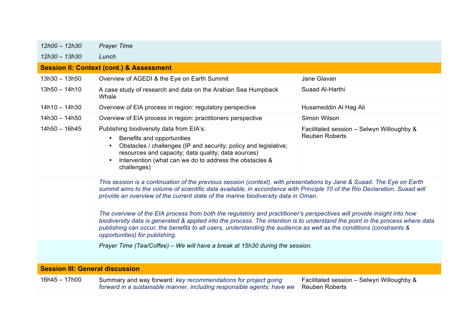| 12h00 - 12h30                          | <b>Prayer Time</b>                                                                                                                                                                                                                                                                                                                                                                                                                                                                                                                                                                                                                                                                                                                                             |                                                                    |
|----------------------------------------|----------------------------------------------------------------------------------------------------------------------------------------------------------------------------------------------------------------------------------------------------------------------------------------------------------------------------------------------------------------------------------------------------------------------------------------------------------------------------------------------------------------------------------------------------------------------------------------------------------------------------------------------------------------------------------------------------------------------------------------------------------------|--------------------------------------------------------------------|
| $12h30 - 13h30$                        | Lunch                                                                                                                                                                                                                                                                                                                                                                                                                                                                                                                                                                                                                                                                                                                                                          |                                                                    |
|                                        | <b>Session II: Context (cont.) &amp; Assessment</b>                                                                                                                                                                                                                                                                                                                                                                                                                                                                                                                                                                                                                                                                                                            |                                                                    |
| $13h30 - 13h50$                        | Overview of AGEDI & the Eye on Earth Summit                                                                                                                                                                                                                                                                                                                                                                                                                                                                                                                                                                                                                                                                                                                    | Jane Glavan                                                        |
| $13h50 - 14h10$                        | A case study of research and data on the Arabian Sea Humpback<br>Whale                                                                                                                                                                                                                                                                                                                                                                                                                                                                                                                                                                                                                                                                                         | Suaad Al-Harthi                                                    |
| $14h10 - 14h30$                        | Overview of EIA process in region: regulatory perspective                                                                                                                                                                                                                                                                                                                                                                                                                                                                                                                                                                                                                                                                                                      | Husameddin Al Hag Ali                                              |
| $14h30 - 14h50$                        | Overview of EIA process in region: practitioners perspective                                                                                                                                                                                                                                                                                                                                                                                                                                                                                                                                                                                                                                                                                                   | Simon Wilson                                                       |
| $14h50 - 16h45$                        | Publishing biodiversity data from EIA's:<br>Benefits and opportunities<br>$\bullet$<br>Obstacles / challenges (IP and security; policy and legislative;<br>$\bullet$<br>resources and capacity; data quality; data sources)<br>Intervention (what can we do to address the obstacles &<br>$\bullet$<br>challenges)                                                                                                                                                                                                                                                                                                                                                                                                                                             | Facilitated session - Selwyn Willoughby &<br><b>Reuben Roberts</b> |
|                                        | This session is a continuation of the previous session (context), with presentations by Jane & Suaad. The Eye on Earth<br>summit aims to the volume of scientific data available, in accordance with Principle 10 of the Rio Declaration. Suaad will<br>provide an overview of the current state of the marine biodiversity data in Oman.<br>The overview of the EIA process from both the regulatory and practitioner's perspectives will provide insight into how<br>biodiversity data is generated & applied into the process. The intention is to understand the point in the process where data<br>publishing can occur, the benefits to all users, understanding the audience as well as the conditions (constraints &<br>opportunities) for publishing. |                                                                    |
|                                        | Prayer Time (Tea/Coffee) - We will have a break at 15h30 during the session.                                                                                                                                                                                                                                                                                                                                                                                                                                                                                                                                                                                                                                                                                   |                                                                    |
|                                        |                                                                                                                                                                                                                                                                                                                                                                                                                                                                                                                                                                                                                                                                                                                                                                |                                                                    |
| <b>Session III: General discussion</b> |                                                                                                                                                                                                                                                                                                                                                                                                                                                                                                                                                                                                                                                                                                                                                                |                                                                    |
| $16h45 - 17h00$                        | Summary and way forward: key recommendations for project going<br>forward in a sustainable manner, including responsible agents; have we                                                                                                                                                                                                                                                                                                                                                                                                                                                                                                                                                                                                                       | Facilitated session - Selwyn Willoughby &<br><b>Reuben Roberts</b> |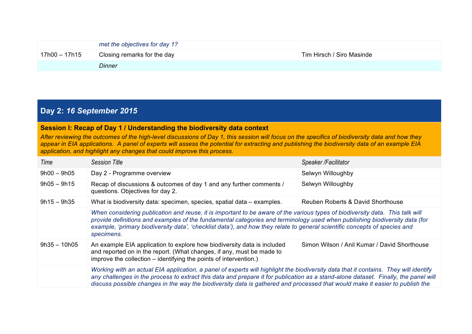|                 | met the objectives for day 1? |                           |
|-----------------|-------------------------------|---------------------------|
| $17h00 - 17h15$ | Closing remarks for the day   | Tim Hirsch / Siro Masinde |
|                 | <b>Dinner</b>                 |                           |

#### **Day 2:** *16 September 2015*

#### **Session I: Recap of Day 1 / Understanding the biodiversity data context**

*After reviewing the outcomes of the high-level discussions of Day 1, this session will focus on the specifics of biodiversity data and how they appear in EIA applications. A panel of experts will assess the potential for extracting and publishing the biodiversity data of an example EIA application, and highlight any changes that could improve this process.*

| Time           | <b>Session Title</b>                                                                                                                                                                                                                                                                                                                                                                                        | Speaker / Facilitator             |
|----------------|-------------------------------------------------------------------------------------------------------------------------------------------------------------------------------------------------------------------------------------------------------------------------------------------------------------------------------------------------------------------------------------------------------------|-----------------------------------|
| $9h00 - 9h05$  | Day 2 - Programme overview                                                                                                                                                                                                                                                                                                                                                                                  | Selwyn Willoughby                 |
| $9h05 - 9h15$  | Recap of discussions & outcomes of day 1 and any further comments /<br>questions. Objectives for day 2.                                                                                                                                                                                                                                                                                                     | Selwyn Willoughby                 |
| $9h15 - 9h35$  | What is biodiversity data: specimen, species, spatial data – examples.                                                                                                                                                                                                                                                                                                                                      | Reuben Roberts & David Shorthouse |
|                | When considering publication and reuse, it is important to be aware of the various types of biodiversity data. This talk will<br>provide definitions and examples of the fundamental categories and terminology used when publishing biodiversity data (for<br>example, 'primary biodiversity data', 'checklist data'), and how they relate to general scientific concepts of species and<br>specimens.     |                                   |
| $9h35 - 10h05$ | An example EIA application to explore how biodiversity data is included<br>Simon Wilson / Anil Kumar / David Shorthouse<br>and reported on in the report. (What changes, if any, must be made to<br>improve the collection – identifying the points of intervention.)                                                                                                                                       |                                   |
|                | Working with an actual EIA application, a panel of experts will highlight the biodiversity data that it contains. They will identify<br>any challenges in the process to extract this data and prepare it for publication as a stand-alone dataset. Finally, the panel will<br>discuss possible changes in the way the biodiversity data is gathered and processed that would make it easier to publish the |                                   |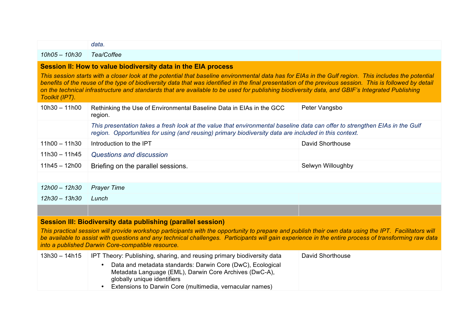|                                                                                                                                                                                                                                                                                                                                                                                                                                                                                                                                                        | data.                                                                                                                                                                                                                                |                         |
|--------------------------------------------------------------------------------------------------------------------------------------------------------------------------------------------------------------------------------------------------------------------------------------------------------------------------------------------------------------------------------------------------------------------------------------------------------------------------------------------------------------------------------------------------------|--------------------------------------------------------------------------------------------------------------------------------------------------------------------------------------------------------------------------------------|-------------------------|
| $10h05 - 10h30$                                                                                                                                                                                                                                                                                                                                                                                                                                                                                                                                        | Tea/Coffee                                                                                                                                                                                                                           |                         |
| Session II: How to value biodiversity data in the EIA process<br>This session starts with a closer look at the potential that baseline environmental data has for EIAs in the Gulf region. This includes the potential<br>benefits of the reuse of the type of biodiversity data that was identified in the final presentation of the previous session. This is followed by detail<br>on the technical infrastructure and standards that are available to be used for publishing biodiversity data, and GBIF's Integrated Publishing<br>Toolkit (IPT). |                                                                                                                                                                                                                                      |                         |
| $10h30 - 11h00$                                                                                                                                                                                                                                                                                                                                                                                                                                                                                                                                        | Rethinking the Use of Environmental Baseline Data in EIAs in the GCC<br>region.                                                                                                                                                      | Peter Vangsbo           |
|                                                                                                                                                                                                                                                                                                                                                                                                                                                                                                                                                        | This presentation takes a fresh look at the value that environmental baseline data can offer to strengthen EIAs in the Gulf<br>region. Opportunities for using (and reusing) primary biodiversity data are included in this context. |                         |
| $11h00 - 11h30$                                                                                                                                                                                                                                                                                                                                                                                                                                                                                                                                        | Introduction to the IPT                                                                                                                                                                                                              | <b>David Shorthouse</b> |
| $11h30 - 11h45$                                                                                                                                                                                                                                                                                                                                                                                                                                                                                                                                        | <b>Questions and discussion</b>                                                                                                                                                                                                      |                         |
| $11h45 - 12h00$                                                                                                                                                                                                                                                                                                                                                                                                                                                                                                                                        | Briefing on the parallel sessions.                                                                                                                                                                                                   | Selwyn Willoughby       |
|                                                                                                                                                                                                                                                                                                                                                                                                                                                                                                                                                        |                                                                                                                                                                                                                                      |                         |
| $12h00 - 12h30$                                                                                                                                                                                                                                                                                                                                                                                                                                                                                                                                        | <b>Prayer Time</b>                                                                                                                                                                                                                   |                         |
| $12h30 - 13h30$                                                                                                                                                                                                                                                                                                                                                                                                                                                                                                                                        | Lunch                                                                                                                                                                                                                                |                         |
|                                                                                                                                                                                                                                                                                                                                                                                                                                                                                                                                                        |                                                                                                                                                                                                                                      |                         |
| <b>Session III: Biodiversity data publishing (parallel session)</b>                                                                                                                                                                                                                                                                                                                                                                                                                                                                                    |                                                                                                                                                                                                                                      |                         |
| This practical session will provide workshop participants with the opportunity to prepare and publish their own data using the IPT. Facilitators will<br>be available to assist with questions and any technical challenges. Participants will gain experience in the entire process of transforming raw data<br>into a published Darwin Core-compatible resource.                                                                                                                                                                                     |                                                                                                                                                                                                                                      |                         |
| $13h30 - 14h15$                                                                                                                                                                                                                                                                                                                                                                                                                                                                                                                                        | IPT Theory: Publishing, sharing, and reusing primary biodiversity data                                                                                                                                                               | <b>David Shorthouse</b> |
|                                                                                                                                                                                                                                                                                                                                                                                                                                                                                                                                                        | Data and metadata standards: Darwin Core (DwC), Ecological<br>Metadata Language (EML), Darwin Core Archives (DwC-A),<br>globally unique identifiers<br>Extensions to Darwin Core (multimedia, vernacular names)                      |                         |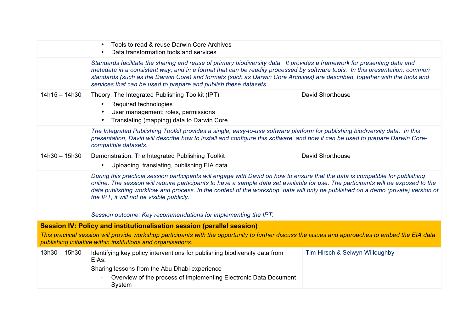|                 | Tools to read & reuse Darwin Core Archives<br>$\bullet$<br>Data transformation tools and services<br>$\bullet$                                                                                                                                                                                                                                                                                                                                           |                                |
|-----------------|----------------------------------------------------------------------------------------------------------------------------------------------------------------------------------------------------------------------------------------------------------------------------------------------------------------------------------------------------------------------------------------------------------------------------------------------------------|--------------------------------|
|                 | Standards facilitate the sharing and reuse of primary biodiversity data. It provides a framework for presenting data and<br>metadata in a consistent way, and in a format that can be readily processed by software tools. In this presentation, common<br>standards (such as the Darwin Core) and formats (such as Darwin Core Archives) are described, together with the tools and<br>services that can be used to prepare and publish these datasets. |                                |
| $14h15 - 14h30$ | Theory: The Integrated Publishing Toolkit (IPT)<br>Required technologies<br>User management: roles, permissions<br>Translating (mapping) data to Darwin Core<br>$\bullet$                                                                                                                                                                                                                                                                                | David Shorthouse               |
|                 | The Integrated Publishing Toolkit provides a single, easy-to-use software platform for publishing biodiversity data. In this<br>presentation, David will describe how to install and configure this software, and how it can be used to prepare Darwin Core-<br>compatible datasets.                                                                                                                                                                     |                                |
| $14h30 - 15h30$ | Demonstration: The Integrated Publishing Toolkit<br>• Uploading, translating, publishing EIA data                                                                                                                                                                                                                                                                                                                                                        | <b>David Shorthouse</b>        |
|                 | During this practical session participants will engage with David on how to ensure that the data is compatible for publishing<br>online. The session will require participants to have a sample data set available for use. The participants will be exposed to the<br>data publishing workflow and process. In the context of the workshop, data will only be published on a demo (private) version of<br>the IPT, it will not be visible publicly.     |                                |
|                 | Session outcome: Key recommendations for implementing the IPT.                                                                                                                                                                                                                                                                                                                                                                                           |                                |
|                 | Session IV: Policy and institutionalisation session (parallel session)<br>This practical session will provide workshop participants with the opportunity to further discuss the issues and approaches to embed the EIA data<br>publishing initiative within institutions and organisations.                                                                                                                                                              |                                |
| $13h30 - 15h30$ | Identifying key policy interventions for publishing biodiversity data from<br>EIAs.<br>Sharing lessons from the Abu Dhabi experience<br>Overview of the process of implementing Electronic Data Document<br>System                                                                                                                                                                                                                                       | Tim Hirsch & Selwyn Willoughby |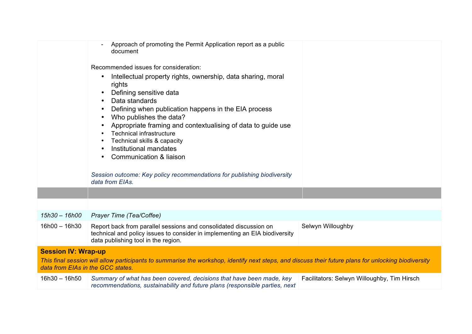|                                   | Approach of promoting the Permit Application report as a public<br>document                                                                                                                                                                                                                                                                                                                   |                                             |
|-----------------------------------|-----------------------------------------------------------------------------------------------------------------------------------------------------------------------------------------------------------------------------------------------------------------------------------------------------------------------------------------------------------------------------------------------|---------------------------------------------|
|                                   | Recommended issues for consideration:                                                                                                                                                                                                                                                                                                                                                         |                                             |
|                                   | Intellectual property rights, ownership, data sharing, moral<br>rights<br>Defining sensitive data<br>Data standards<br>Defining when publication happens in the EIA process<br>Who publishes the data?<br>Appropriate framing and contextualising of data to guide use<br><b>Technical infrastructure</b><br>Technical skills & capacity<br>Institutional mandates<br>Communication & liaison |                                             |
|                                   | Session outcome: Key policy recommendations for publishing biodiversity<br>data from EIAs.                                                                                                                                                                                                                                                                                                    |                                             |
|                                   |                                                                                                                                                                                                                                                                                                                                                                                               |                                             |
|                                   |                                                                                                                                                                                                                                                                                                                                                                                               |                                             |
| 15h30 – 16h00                     | Prayer Time (Tea/Coffee)                                                                                                                                                                                                                                                                                                                                                                      |                                             |
| $16h00 - 16h30$                   | Report back from parallel sessions and consolidated discussion on<br>technical and policy issues to consider in implementing an EIA biodiversity<br>data publishing tool in the region.                                                                                                                                                                                                       | Selwyn Willoughby                           |
| <b>Session IV: Wrap-up</b>        |                                                                                                                                                                                                                                                                                                                                                                                               |                                             |
| data from EIAs in the GCC states. | This final session will allow participants to summarise the workshop, identify next steps, and discuss their future plans for unlocking biodiversity                                                                                                                                                                                                                                          |                                             |
| $16h30 - 16h50$                   | Summary of what has been covered, decisions that have been made, key<br>recommendations, sustainability and future plans (responsible parties, next                                                                                                                                                                                                                                           | Facilitators: Selwyn Willoughby, Tim Hirsch |